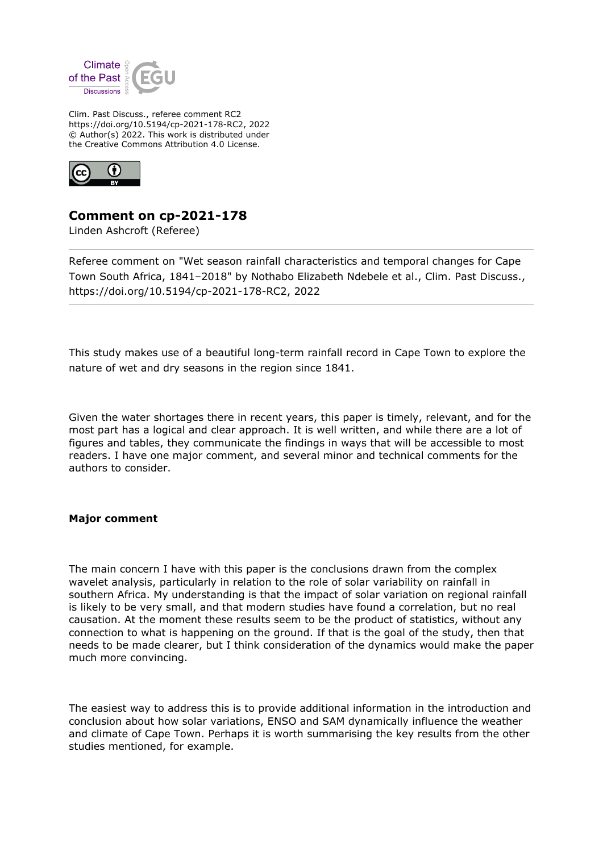

Clim. Past Discuss., referee comment RC2 https://doi.org/10.5194/cp-2021-178-RC2, 2022 © Author(s) 2022. This work is distributed under the Creative Commons Attribution 4.0 License.



## **Comment on cp-2021-178**

Linden Ashcroft (Referee)

Referee comment on "Wet season rainfall characteristics and temporal changes for Cape Town South Africa, 1841–2018" by Nothabo Elizabeth Ndebele et al., Clim. Past Discuss., https://doi.org/10.5194/cp-2021-178-RC2, 2022

This study makes use of a beautiful long-term rainfall record in Cape Town to explore the nature of wet and dry seasons in the region since 1841.

Given the water shortages there in recent years, this paper is timely, relevant, and for the most part has a logical and clear approach. It is well written, and while there are a lot of figures and tables, they communicate the findings in ways that will be accessible to most readers. I have one major comment, and several minor and technical comments for the authors to consider.

## **Major comment**

The main concern I have with this paper is the conclusions drawn from the complex wavelet analysis, particularly in relation to the role of solar variability on rainfall in southern Africa. My understanding is that the impact of solar variation on regional rainfall is likely to be very small, and that modern studies have found a correlation, but no real causation. At the moment these results seem to be the product of statistics, without any connection to what is happening on the ground. If that is the goal of the study, then that needs to be made clearer, but I think consideration of the dynamics would make the paper much more convincing.

The easiest way to address this is to provide additional information in the introduction and conclusion about how solar variations, ENSO and SAM dynamically influence the weather and climate of Cape Town. Perhaps it is worth summarising the key results from the other studies mentioned, for example.